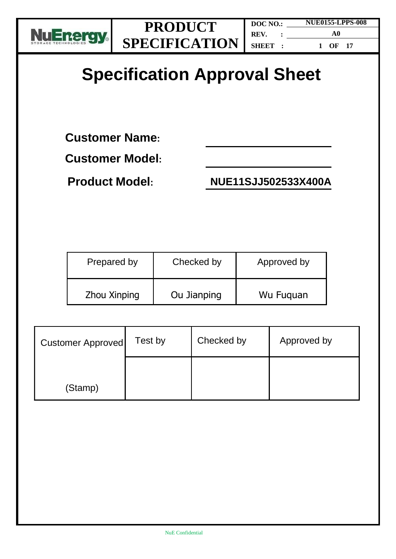

**DOC NO.: REV. : SHEET : NUE0155-LPPS-008 A0 1 OF 17**

# **Specification Approval Sheet**

**Customer Name:** 

**Customer Model:**

**Product Model: NUE11SJJ502533X400A**

| Prepared by  | Checked by  | Approved by |
|--------------|-------------|-------------|
| Zhou Xinping | Ou Jianping | Wu Fuguan   |

| <b>Customer Approved</b> | Test by | Checked by | Approved by |
|--------------------------|---------|------------|-------------|
| (Stamp)                  |         |            |             |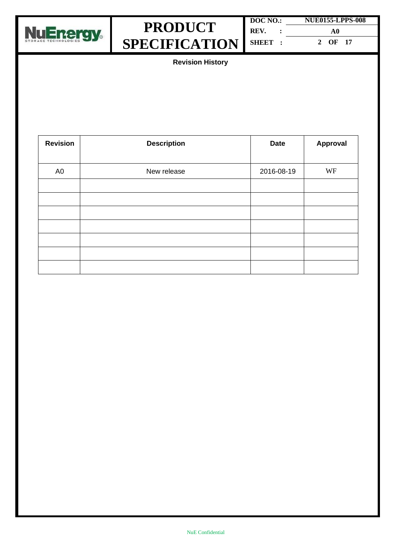



| DOC NO.: | <b>NUE0155-LPPS-008</b> |  |  |
|----------|-------------------------|--|--|
| REV.     | A0                      |  |  |
| SHEET :  | 2 OF 17                 |  |  |

**Revision History**

| <b>Revision</b> | <b>Description</b> | <b>Date</b> | Approval |
|-----------------|--------------------|-------------|----------|
|                 |                    |             |          |
| A <sub>0</sub>  | New release        | 2016-08-19  | WF       |
|                 |                    |             |          |
|                 |                    |             |          |
|                 |                    |             |          |
|                 |                    |             |          |
|                 |                    |             |          |
|                 |                    |             |          |
|                 |                    |             |          |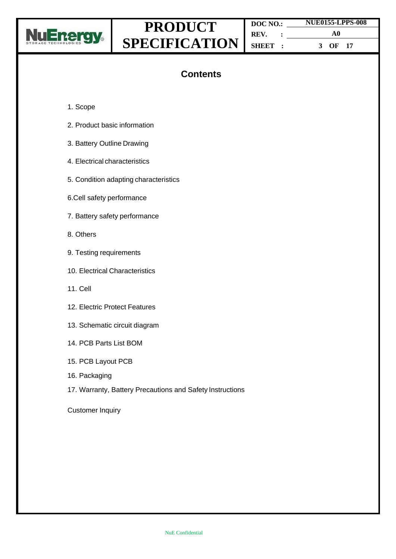

**DOC NO.: REV. : SHEET : NUE0155-LPPS-008 A0 3 OF 17**

### **Contents**

- 1. Scope
- 2. Product basic information
- 3. Battery Outline Drawing
- 4. Electrical characteristics
- 5. Condition adapting characteristics
- 6.Cell safety performance
- 7. Battery safety performance
- 8. Others
- 9. Testing requirements
- 10. Electrical Characteristics
- 11. Cell
- 12. Electric Protect Features
- 13. Schematic circuit diagram
- 14. PCB Parts List BOM
- 15. PCB Layout PCB
- 16. Packaging
- 17. Warranty, Battery Precautions and Safety Instructions

Customer Inquiry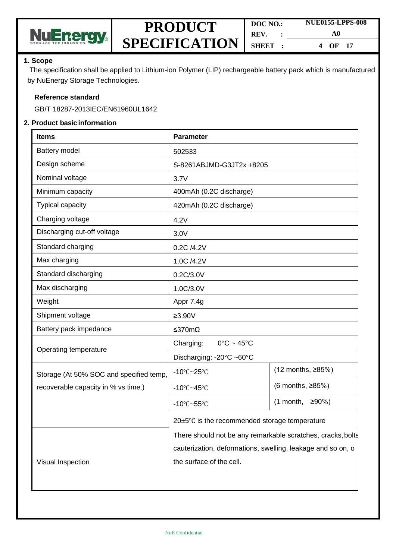

| DOC NO. |  | <b>NUE0155-LPPS-008</b> |  |  |
|---------|--|-------------------------|--|--|
| REV.    |  | A0                      |  |  |
| SHEET : |  | $OF$ 17<br>4            |  |  |

#### **1. Scope**

The specification shall be applied to Lithium-ion Polymer (LIP) rechargeable battery pack which is manufactured by NuEnergy Storage Technologies.

#### **Reference standard**

GB/T 18287-2013IEC/EN61960UL1642

#### **2. Product basic information**

| <b>Items</b>                            | <b>Parameter</b>                                            |                           |  |
|-----------------------------------------|-------------------------------------------------------------|---------------------------|--|
| Battery model                           | 502533                                                      |                           |  |
| Design scheme                           | S-8261ABJMD-G3JT2x +8205                                    |                           |  |
| Nominal voltage                         | 3.7V                                                        |                           |  |
| Minimum capacity                        | 400mAh (0.2C discharge)                                     |                           |  |
| Typical capacity                        | 420mAh (0.2C discharge)                                     |                           |  |
| Charging voltage                        | 4.2V                                                        |                           |  |
| Discharging cut-off voltage             | 3.0V                                                        |                           |  |
| Standard charging                       | 0.2C /4.2V                                                  |                           |  |
| Max charging                            | 1.0C /4.2V                                                  |                           |  |
| Standard discharging                    | 0.2C/3.0V                                                   |                           |  |
| Max discharging                         | 1.0C/3.0V                                                   |                           |  |
| Weight                                  | Appr 7.4g                                                   |                           |  |
| Shipment voltage                        | $\geq 3.90V$                                                |                           |  |
| Battery pack impedance                  | ≤370mΩ                                                      |                           |  |
| Operating temperature                   | Charging:<br>$0^{\circ}$ C ~ 45 $^{\circ}$ C                |                           |  |
|                                         | Discharging: -20°C ~60°C                                    |                           |  |
| Storage (At 50% SOC and specified temp, | $-10^{\circ}$ C $-25^{\circ}$ C                             | (12 months, ≥85%)         |  |
| recoverable capacity in % vs time.)     | $-10^{\circ}$ C $-45^{\circ}$ C                             | $(6$ months, $\geq 85\%)$ |  |
|                                         | $-10^{\circ}$ C $-55^{\circ}$ C                             | $(1$ month, ≥90%)         |  |
|                                         | 20±5°C is the recommended storage temperature               |                           |  |
|                                         | There should not be any remarkable scratches, cracks, bolts |                           |  |
|                                         | cauterization, deformations, swelling, leakage and so on, o |                           |  |
| Visual Inspection                       | the surface of the cell.                                    |                           |  |
|                                         |                                                             |                           |  |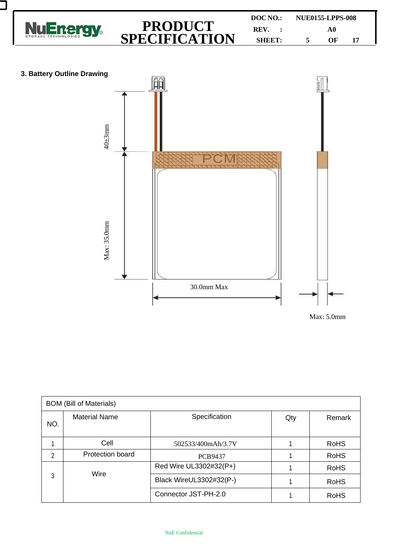

| <b>BOM (Bill of Materials)</b> |                      |                         |     |             |  |
|--------------------------------|----------------------|-------------------------|-----|-------------|--|
| NO.                            | <b>Material Name</b> | Specification           | Qty | Remark      |  |
|                                | Cell                 | 502533/400mAh/3.7V      |     | <b>RoHS</b> |  |
| 2                              | Protection board     | <b>PCB9437</b>          |     | <b>RoHS</b> |  |
|                                | Wire                 | Red Wire UL3302#32(P+)  |     | <b>RoHS</b> |  |
| 3                              |                      | Black WireUL3302#32(P-) |     | <b>RoHS</b> |  |
|                                |                      | Connector JST-PH-2.0    |     | <b>RoHS</b> |  |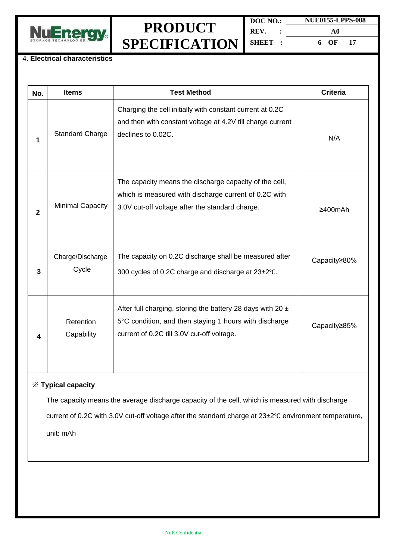

| DOC NO.: | <b>NUE0155-LPPS-008</b> |  |
|----------|-------------------------|--|
| REV.     | A0                      |  |
| SHEET :  | 6 OF<br>17              |  |

#### 4. **Electrical characteristics**

| No.                       | <b>Items</b>              | <b>Test Method</b>                                                                                                                                                     | <b>Criteria</b> |  |  |
|---------------------------|---------------------------|------------------------------------------------------------------------------------------------------------------------------------------------------------------------|-----------------|--|--|
| 1                         | <b>Standard Charge</b>    | Charging the cell initially with constant current at 0.2C<br>and then with constant voltage at 4.2V till charge current<br>declines to 0.02C.                          | N/A             |  |  |
| $\overline{2}$            | <b>Minimal Capacity</b>   | The capacity means the discharge capacity of the cell,<br>which is measured with discharge current of 0.2C with<br>3.0V cut-off voltage after the standard charge.     | ≥400mAh         |  |  |
| 3                         | Charge/Discharge<br>Cycle | The capacity on 0.2C discharge shall be measured after<br>300 cycles of 0.2C charge and discharge at 23±2°C.                                                           | Capacity≥80%    |  |  |
| 4                         | Retention<br>Capability   | After full charging, storing the battery 28 days with 20 $\pm$<br>5°C condition, and then staying 1 hours with discharge<br>current of 0.2C till 3.0V cut-off voltage. | Capacity≥85%    |  |  |
| <b>※ Typical capacity</b> |                           |                                                                                                                                                                        |                 |  |  |

The capacity means the average discharge capacity of the cell, which is measured with discharge

current of 0.2C with 3.0V cut-off voltage after the standard charge at 23±2℃ environment temperature,

unit: mAh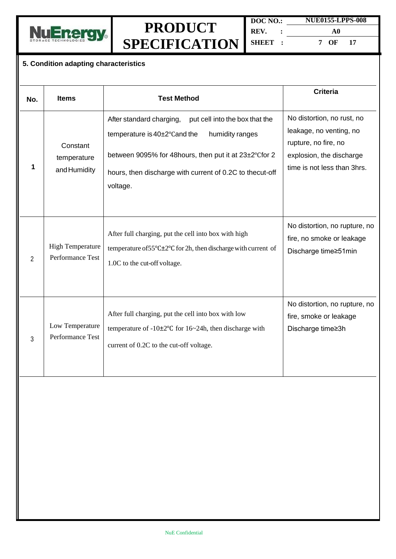

| DOC NO.: |  | <b>NUE0155-LPPS-008</b> |     |
|----------|--|-------------------------|-----|
| REV.     |  | A0                      |     |
| SHEET:   |  | 7 OF                    | -17 |

#### **5. Condition adapting characteristics**

| No.            | <b>Items</b>                                | <b>Test Method</b>                                                                                                                                                                                                                             | <b>Criteria</b>                                                                                                                          |
|----------------|---------------------------------------------|------------------------------------------------------------------------------------------------------------------------------------------------------------------------------------------------------------------------------------------------|------------------------------------------------------------------------------------------------------------------------------------------|
| 1              | Constant<br>temperature<br>and Humidity     | After standard charging,<br>put cell into the box that the<br>humidity ranges<br>temperature is 40±2°Cand the<br>between 9095% for 48hours, then put it at 23±2°Cfor 2<br>hours, then discharge with current of 0.2C to thecut-off<br>voltage. | No distortion, no rust, no<br>leakage, no venting, no<br>rupture, no fire, no<br>explosion, the discharge<br>time is not less than 3hrs. |
| $\overline{2}$ | <b>High Temperature</b><br>Performance Test | After full charging, put the cell into box with high<br>temperature of $55^{\circ}$ C $\pm 2^{\circ}$ C for 2h, then discharge with current of<br>1.0C to the cut-off voltage.                                                                 | No distortion, no rupture, no<br>fire, no smoke or leakage<br>Discharge time≥51min                                                       |
| $\mathbf{3}$   | Low Temperature<br>Performance Test         | After full charging, put the cell into box with low<br>temperature of $-10\pm2\degree$ C for $16\sim24h$ , then discharge with<br>current of 0.2C to the cut-off voltage.                                                                      | No distortion, no rupture, no<br>fire, smoke or leakage<br>Discharge time≥3h                                                             |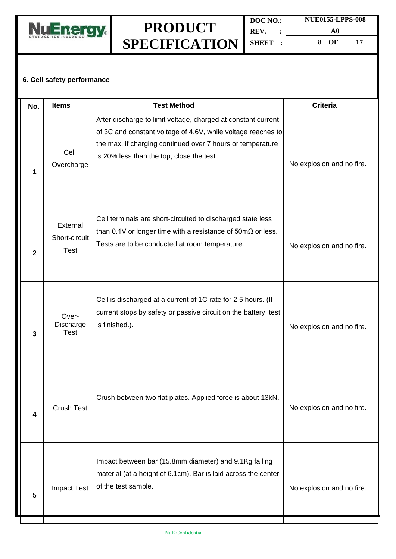

#### **6. Cell safety performance**

| No.            | <b>Items</b>                             | <b>Test Method</b>                                                                                                                                                                                                                       | <b>Criteria</b>           |
|----------------|------------------------------------------|------------------------------------------------------------------------------------------------------------------------------------------------------------------------------------------------------------------------------------------|---------------------------|
| 1              | Cell<br>Overcharge                       | After discharge to limit voltage, charged at constant current<br>of 3C and constant voltage of 4.6V, while voltage reaches to<br>the max, if charging continued over 7 hours or temperature<br>is 20% less than the top, close the test. | No explosion and no fire. |
| $\overline{2}$ | External<br>Short-circuit<br><b>Test</b> | Cell terminals are short-circuited to discharged state less<br>than 0.1V or longer time with a resistance of $50 \text{m}\Omega$ or less.<br>Tests are to be conducted at room temperature.                                              | No explosion and no fire. |
| 3              | Over-<br>Discharge<br><b>Test</b>        | Cell is discharged at a current of 1C rate for 2.5 hours. (If<br>current stops by safety or passive circuit on the battery, test<br>is finished.).                                                                                       | No explosion and no fire. |
| 4              | <b>Crush Test</b>                        | Crush between two flat plates. Applied force is about 13kN.                                                                                                                                                                              | No explosion and no fire. |
| 5              | Impact Test                              | Impact between bar (15.8mm diameter) and 9.1Kg falling<br>material (at a height of 6.1cm). Bar is laid across the center<br>of the test sample.                                                                                          | No explosion and no fire. |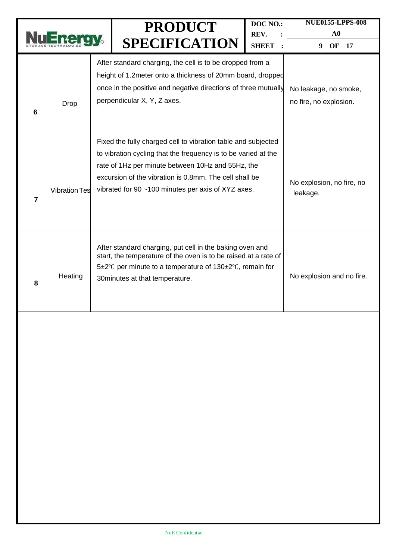|   |                      |                                                                                                                                                                                                                                                                                                      | <b>PRODUCT</b><br><b>SPECIFICATION</b>                                                                                                                                                                                     | DOC NO.:<br>REV.<br><b>SHEET</b>                | <b>NUE0155-LPPS-008</b><br>${\bf A0}$<br>9<br>OF<br>17 |
|---|----------------------|------------------------------------------------------------------------------------------------------------------------------------------------------------------------------------------------------------------------------------------------------------------------------------------------------|----------------------------------------------------------------------------------------------------------------------------------------------------------------------------------------------------------------------------|-------------------------------------------------|--------------------------------------------------------|
| 6 | Drop                 |                                                                                                                                                                                                                                                                                                      | After standard charging, the cell is to be dropped from a<br>height of 1.2 meter onto a thickness of 20mm board, dropped<br>once in the positive and negative directions of three mutually<br>perpendicular X, Y, Z axes.  | No leakage, no smoke,<br>no fire, no explosion. |                                                        |
| 7 | <b>Vibration Tes</b> | Fixed the fully charged cell to vibration table and subjected<br>to vibration cycling that the frequency is to be varied at the<br>rate of 1Hz per minute between 10Hz and 55Hz, the<br>excursion of the vibration is 0.8mm. The cell shall be<br>vibrated for 90 ~100 minutes per axis of XYZ axes. |                                                                                                                                                                                                                            |                                                 | No explosion, no fire, no<br>leakage.                  |
| 8 | Heating              |                                                                                                                                                                                                                                                                                                      | After standard charging, put cell in the baking oven and<br>start, the temperature of the oven is to be raised at a rate of<br>5±2°C per minute to a temperature of 130±2°C, remain for<br>30 minutes at that temperature. |                                                 | No explosion and no fire.                              |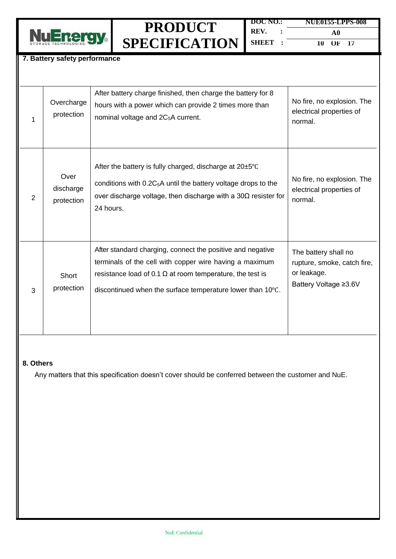

| DOC NO.: | NUE0155-LPPS-008 |
|----------|------------------|
| REV.     | A0               |
| SHEET :  | 10 OF 17         |

#### **7. Battery safety performance**

| 1              | Overcharge<br>protection        | After battery charge finished, then charge the battery for 8<br>hours with a power which can provide 2 times more than<br>nominal voltage and 2C <sub>5</sub> A current.                                                                                | No fire, no explosion. The<br>electrical properties of<br>normal.                           |
|----------------|---------------------------------|---------------------------------------------------------------------------------------------------------------------------------------------------------------------------------------------------------------------------------------------------------|---------------------------------------------------------------------------------------------|
| $\overline{2}$ | Over<br>discharge<br>protection | After the battery is fully charged, discharge at $20\pm5^{\circ}$ C<br>conditions with 0.2C <sub>5</sub> A until the battery voltage drops to the<br>over discharge voltage, then discharge with a $30\Omega$ resister for<br>24 hours.                 | No fire, no explosion. The<br>electrical properties of<br>normal.                           |
| 3              | Short<br>protection             | After standard charging, connect the positive and negative<br>terminals of the cell with copper wire having a maximum<br>resistance load of 0.1 $\Omega$ at room temperature, the test is<br>discontinued when the surface temperature lower than 10°C. | The battery shall no<br>rupture, smoke, catch fire,<br>or leakage.<br>Battery Voltage ≥3.6V |

#### **8. Others**

Any matters that this specification doesn't cover should be conferred between the customer and NuE.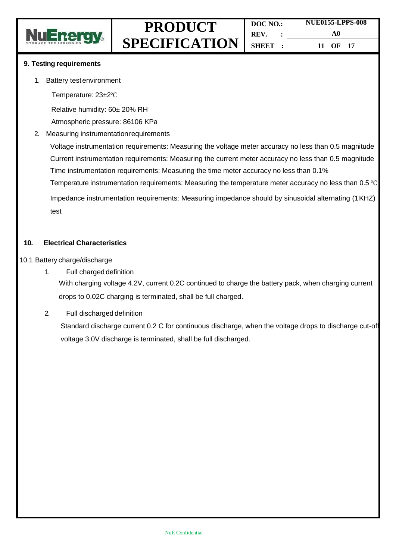

#### **9. Testing requirements**

- 1. Battery testenvironment
	- Temperature: 23±2℃

Relative humidity: 60± 20% RH

Atmospheric pressure: 86106 KPa

2. Measuring instrumentationrequirements

Voltage instrumentation requirements: Measuring the voltage meter accuracy no less than 0.5 magnitude Current instrumentation requirements: Measuring the current meter accuracy no less than 0.5 magnitude Time instrumentation requirements: Measuring the time meter accuracy no less than 0.1%

Temperature instrumentation requirements: Measuring the temperature meter accuracy no less than 0.5 ℃

Impedance instrumentation requirements: Measuring impedance should by sinusoidal alternating (1KHZ) test

#### **10. Electrical Characteristics**

#### 10.1 Battery charge/discharge

1. Full charged definition

With charging voltage 4.2V, current 0.2C continued to charge the battery pack, when charging current drops to 0.02C charging is terminated, shall be full charged.

2. Full discharged definition

Standard discharge current 0.2 C for continuous discharge, when the voltage drops to discharge cut-off voltage 3.0V discharge is terminated, shall be full discharged.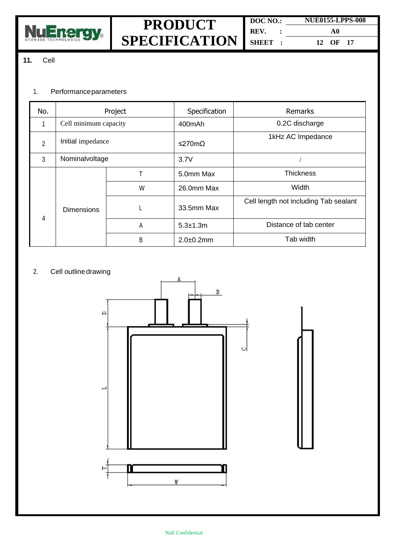

#### **11.** Cell

#### 1. Performanceparameters

| No. | Project               |   | Specification   | <b>Remarks</b>                        |       |
|-----|-----------------------|---|-----------------|---------------------------------------|-------|
| 1   | Cell minimum capacity |   | 400mAh          | 0.2C discharge                        |       |
| 2   | Initial impedance     |   | ≤270mΩ          | 1kHz AC Impedance                     |       |
| 3   | Nominalvoltage        |   | 3.7V            |                                       |       |
|     | <b>Dimensions</b>     | т | 5.0mm Max       | <b>Thickness</b>                      |       |
|     |                       |   | W               | 26.0mm Max                            | Width |
| 4   |                       |   | 33.5mm Max      | Cell length not including Tab sealant |       |
|     |                       | A | $5.3 \pm 1.3$ m | Distance of tab center                |       |
|     |                       | B | $2.0 + 0.2$ mm  | Tab width                             |       |

#### 2. Cell outline drawing

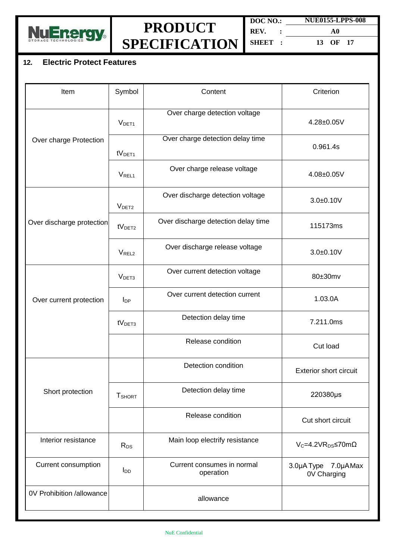

| DOC NO.: | <b>NUE0155-LPPS-008</b> |  |  |
|----------|-------------------------|--|--|
| REV.     | A0                      |  |  |
| SHEET R  | 13 OF 17                |  |  |

#### **12. Electric Protect Features**

| Item                      | Symbol                 | Content                                 | Criterion                          |
|---------------------------|------------------------|-----------------------------------------|------------------------------------|
|                           | V <sub>DET1</sub>      | Over charge detection voltage           | 4.28±0.05V                         |
| Over charge Protection    | tV <sub>DET1</sub>     | Over charge detection delay time        | 0.961.4s                           |
|                           | <b>VREL1</b>           | Over charge release voltage             | 4.08±0.05V                         |
|                           | V <sub>DET2</sub>      | Over discharge detection voltage        | $3.0 + 0.10V$                      |
| Over discharge protection | tV <sub>DET2</sub>     | Over discharge detection delay time     | 115173ms                           |
|                           | V <sub>REL2</sub>      | Over discharge release voltage          | $3.0 + 0.10V$                      |
|                           | V <sub>DET3</sub>      | Over current detection voltage          | 80±30mv                            |
| Over current protection   | $I_{DP}$               | Over current detection current          | 1.03.0A                            |
|                           | tV <sub>DET3</sub>     | Detection delay time                    | 7.211.0ms                          |
|                           |                        | Release condition                       | Cut load                           |
|                           |                        | Detection condition                     | <b>Exterior short circuit</b>      |
| Short protection          | <b>T</b> SHORT         | Detection delay time                    | 220380µs                           |
|                           |                        | Release condition                       | Cut short circuit                  |
| Interior resistance       | R <sub>DS</sub>        | Main loop electrify resistance          | $V_c = 4.2 VR_{DS} \le 70 m\Omega$ |
| Current consumption       | <b>I</b> <sub>DD</sub> | Current consumes in normal<br>operation | 3.0µA Type 7.0µAMax<br>0V Charging |
| 0V Prohibition /allowance |                        | allowance                               |                                    |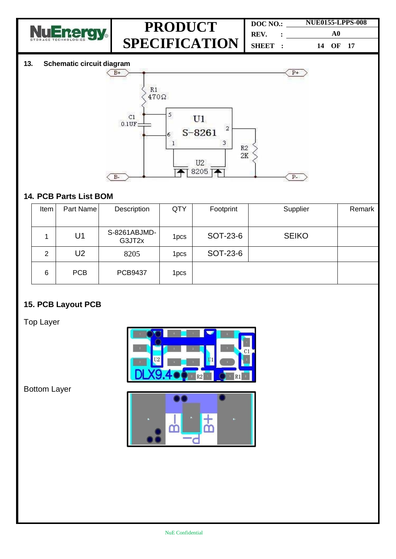

| DOC NO.: | <b>NUE0155-LPPS-008</b> |  |  |
|----------|-------------------------|--|--|
| REV.     | A0                      |  |  |
| SHEET :  | 14 OF 17                |  |  |

#### **13. Schematic circuit diagram**



### **14. PCB Parts List BOM**

| Item | Part Name  | Description            | QTY              | Footprint | Supplier     | Remark |
|------|------------|------------------------|------------------|-----------|--------------|--------|
|      | U1         | S-8261ABJMD-<br>G3JT2x | 1 <sub>pcs</sub> | SOT-23-6  | <b>SEIKO</b> |        |
| 2    | U2         | 8205                   | 1 <sub>pcs</sub> | SOT-23-6  |              |        |
| 6    | <b>PCB</b> | <b>PCB9437</b>         | 1 <sub>pcs</sub> |           |              |        |

### **15. PCB Layout PCB**

Top Layer



Bottom Layer

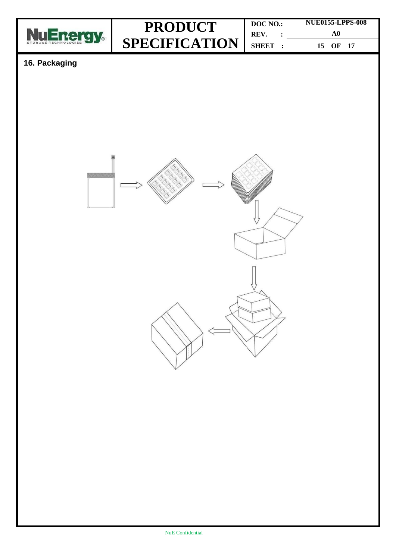

| DOC NO.: | <b>NUE0155-LPPS-008</b> |  |  |
|----------|-------------------------|--|--|
| REV.     | A0                      |  |  |
| SHEET :  | 15 OF 17                |  |  |

### **16. Packaging**

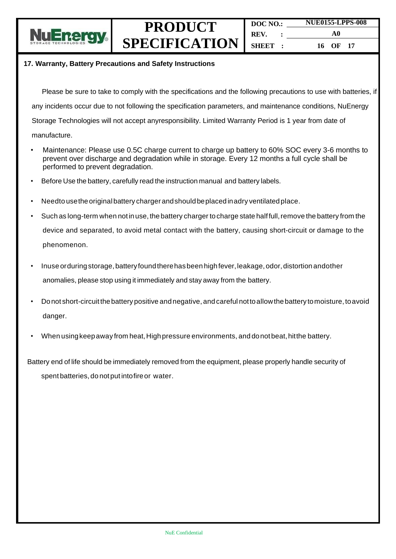

**DOC NO.: REV. : SHEET : NUE0155-LPPS-008 A0 16 OF 17**

#### **17. Warranty, Battery Precautions and Safety Instructions**

Please be sure to take to comply with the specifications and the following precautions to use with batteries, if any incidents occur due to not following the specification parameters, and maintenance conditions, NuEnergy Storage Technologies will not accept anyresponsibility. Limited Warranty Period is 1 year from date of manufacture.

- Maintenance: Please use 0.5C charge current to charge up battery to 60% SOC every 3-6 months to prevent over discharge and degradation while in storage. Every 12 months a full cycle shall be performed to prevent degradation.
- Before Use the battery, carefully read the instruction manual and battery labels.
- Needto usetheoriginalbattery charger andshould beplacedinadry ventilatedplace.
- Such as long-term when not in use, the battery charger to charge state halffull, remove the battery from the device and separated, to avoid metal contact with the battery, causing short-circuit or damage to the phenomenon.
- Inuse orduring storage, battery found there has been high fever, leakage, odor, distortion andother anomalies, please stop using it immediately and stay away from the battery.
- Donot short-circuitthebattery positive andnegative, andcareful nottoallowthe battery tomoisture, toavoid danger.
- When usingkeepaway from heat,Highpressure environments, and donotbeat,hitthe battery.

Battery end of life should be immediately removed from the equipment, please properly handle security of spent batteries, do notput intofireor water.